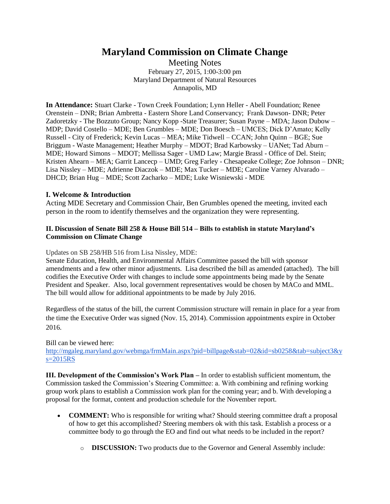# **Maryland Commission on Climate Change**

Meeting Notes February 27, 2015, 1:00-3:00 pm Maryland Department of Natural Resources Annapolis, MD

**In Attendance:** Stuart Clarke - Town Creek Foundation; Lynn Heller - Abell Foundation; Renee Orenstein – DNR; Brian Ambretta - Eastern Shore Land Conservancy; Frank Dawson- DNR; Peter Zadoretzky - The Bozzuto Group; Nancy Kopp -State Treasurer; Susan Payne – MDA; Jason Dubow – MDP; David Costello – MDE; Ben Grumbles – MDE; Don Boesch – UMCES; Dick D'Amato; Kelly Russell - City of Frederick; Kevin Lucas – MEA; Mike Tidwell – CCAN; John Quinn – BGE; Sue Briggum - Waste Management; Heather Murphy – MDOT; Brad Karbowsky – UANet; Tad Aburn – MDE; Howard Simons – MDOT; Mellissa Sager - UMD Law; Margie Brassl - Office of Del. Stein; Kristen Ahearn – MEA; Garrit Lancecp – UMD; Greg Farley - Chesapeake College; Zoe Johnson – DNR; Lisa Nissley – MDE; Adrienne Diaczok – MDE; Max Tucker – MDE; Caroline Varney Alvarado – DHCD; Brian Hug – MDE; Scott Zacharko – MDE; Luke Wisniewski - MDE

# **I. Welcome & Introduction**

Acting MDE Secretary and Commission Chair, Ben Grumbles opened the meeting, invited each person in the room to identify themselves and the organization they were representing.

# **II. Discussion of Senate Bill 258 & House Bill 514 – Bills to establish in statute Maryland's Commission on Climate Change**

### Updates on SB 258/HB 516 from Lisa Nissley, MDE:

Senate Education, Health, and Environmental Affairs Committee passed the bill with sponsor amendments and a few other minor adjustments. Lisa described the bill as amended (attached). The bill codifies the Executive Order with changes to include some appointments being made by the Senate President and Speaker. Also, local government representatives would be chosen by MACo and MML. The bill would allow for additional appointments to be made by July 2016.

Regardless of the status of the bill, the current Commission structure will remain in place for a year from the time the Executive Order was signed (Nov. 15, 2014). Commission appointments expire in October 2016.

### Bill can be viewed here:

[http://mgaleg.maryland.gov/webmga/frmMain.aspx?pid=billpage&stab=02&id=sb0258&tab=subject3&y](http://mgaleg.maryland.gov/webmga/frmMain.aspx?pid=billpage&stab=02&id=sb0258&tab=subject3&ys=2015RS) [s=2015RS](http://mgaleg.maryland.gov/webmga/frmMain.aspx?pid=billpage&stab=02&id=sb0258&tab=subject3&ys=2015RS)

**III. Development of the Commission's Work Plan –** In order to establish sufficient momentum, the Commission tasked the Commission's Steering Committee: a. With combining and refining working group work plans to establish a Commission work plan for the coming year; and b. With developing a proposal for the format, content and production schedule for the November report.

- **COMMENT:** Who is responsible for writing what? Should steering committee draft a proposal of how to get this accomplished? Steering members ok with this task. Establish a process or a committee body to go through the EO and find out what needs to be included in the report?
	- o **DISCUSSION:** Two products due to the Governor and General Assembly include: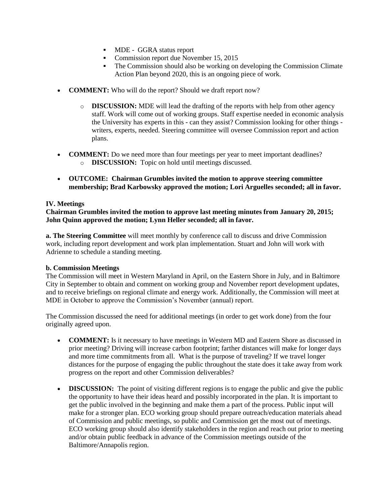- MDE GGRA status report
- Commission report due November 15, 2015
- The Commission should also be working on developing the Commission Climate Action Plan beyond 2020, this is an ongoing piece of work.
- **COMMENT:** Who will do the report? Should we draft report now?
	- o **DISCUSSION:** MDE will lead the drafting of the reports with help from other agency staff. Work will come out of working groups. Staff expertise needed in economic analysis the University has experts in this - can they assist? Commission looking for other things writers, experts, needed. Steering committee will oversee Commission report and action plans.
- **COMMENT:** Do we need more than four meetings per year to meet important deadlines? o **DISCUSSION:** Topic on hold until meetings discussed.
- **OUTCOME: Chairman Grumbles invited the motion to approve steering committee membership; Brad Karbowsky approved the motion; Lori Arguelles seconded; all in favor.**

# **IV. Meetings**

**Chairman Grumbles invited the motion to approve last meeting minutes from January 20, 2015; John Quinn approved the motion; Lynn Heller seconded; all in favor.**

**a. The Steering Committee** will meet monthly by conference call to discuss and drive Commission work, including report development and work plan implementation. Stuart and John will work with Adrienne to schedule a standing meeting.

### **b. Commission Meetings**

The Commission will meet in Western Maryland in April, on the Eastern Shore in July, and in Baltimore City in September to obtain and comment on working group and November report development updates, and to receive briefings on regional climate and energy work. Additionally, the Commission will meet at MDE in October to approve the Commission's November (annual) report.

The Commission discussed the need for additional meetings (in order to get work done) from the four originally agreed upon.

- **COMMENT:** Is it necessary to have meetings in Western MD and Eastern Shore as discussed in prior meeting? Driving will increase carbon footprint; farther distances will make for longer days and more time commitments from all. What is the purpose of traveling? If we travel longer distances for the purpose of engaging the public throughout the state does it take away from work progress on the report and other Commission deliverables?
- **DISCUSSION:** The point of visiting different regions is to engage the public and give the public the opportunity to have their ideas heard and possibly incorporated in the plan. It is important to get the public involved in the beginning and make them a part of the process. Public input will make for a stronger plan. ECO working group should prepare outreach/education materials ahead of Commission and public meetings, so public and Commission get the most out of meetings. ECO working group should also identify stakeholders in the region and reach out prior to meeting and/or obtain public feedback in advance of the Commission meetings outside of the Baltimore/Annapolis region.